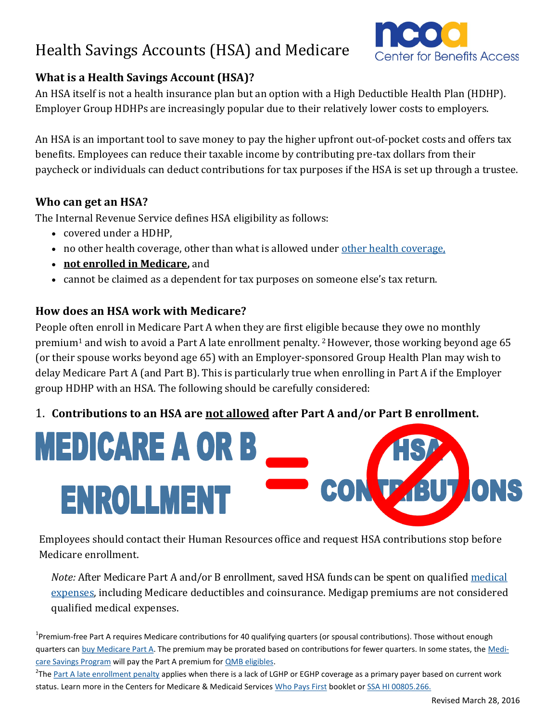# Health Savings Accounts (HSA) and Medicare



## **What is a Health Savings Account (HSA)?**

An HSA itself is not a health insurance plan but an option with a High Deductible Health Plan (HDHP). Employer Group HDHPs are increasingly popular due to their relatively lower costs to employers.

An HSA is an important tool to save money to pay the higher upfront out-of-pocket costs and offers tax benefits. Employees can reduce their taxable income by contributing pre-tax dollars from their paycheck or individuals can deduct contributions for tax purposes if the HSA is set up through a trustee.

#### **Who can get an HSA?**

The Internal Revenue Service defines HSA eligibility as follows:

- covered under a HDHP,
- no [other health coverage,](https://www.irs.gov/publications/p969/ar02.html#en_US_2015_publink1000204039) other than what is allowed under other health coverage.
- **not enrolled in Medicare,** and
- cannot be claimed as a dependent for tax purposes on someone else's tax return.

### **How does an HSA work with Medicare?**

People often enroll in Medicare Part A when they are first eligible because they owe no monthly premium<sup>1</sup> and wish to avoid a Part A late enrollment penalty.<sup>2</sup> However, those working beyond age 65 (or their spouse works beyond age 65) with an Employer-sponsored Group Health Plan may wish to delay Medicare Part A (and Part B). This is particularly true when enrolling in Part A if the Employer group HDHP with an HSA. The following should be carefully considered:

### 1. **Contributions to an HSA are not allowed after Part A and/or Part B enrollment.**



Employees should contact their Human Resources office and request HSA contributions stop before Medicare enrollment.

*Note:* After Medicare Part A and/or B enrollment, saved HSA funds can be spent on qualified [medical](https://www.irs.gov/publications/p502/ar02.html)  [expenses,](https://www.irs.gov/publications/p502/ar02.html) including Medicare deductibles and coinsurance. Medigap premiums are not considered qualified medical expenses.

<sup>1</sup>Premium-free Part A requires Medicare contributions for 40 qualifying quarters (or spousal contributions). Those without enough quarters can [buy Medicare Part A.](file:///C:/Users/melissa.simpson/Documents/Add-in Express) The premium may be prorated based on contributions for fewer quarters. In some states, the [Medi](https://www.ncoa.org/resources/medicare-savings-programs/)[care Savings Program](https://www.ncoa.org/resources/medicare-savings-programs/) will pay the Part A premium for **QMB** eligibles.

<sup>2</sup>The <u>[Part A late enrollment penalty](https://www.medicare.gov/your-medicare-costs/part-a-costs/penalty/part-a-late-enrollment-penalty.html)</u> applies when there is a lack of LGHP or EGHP coverage as a primary payer based on current work status. Learn more in the Centers for Medicare & Medicaid Services [Who Pays First](https://www.medicare.gov/Publications/Pubs/pdf/02179.pdf) booklet or [SSA HI 00805.266.](https://secure.ssa.gov/apps10/poms.nsf/lnx/0600805266)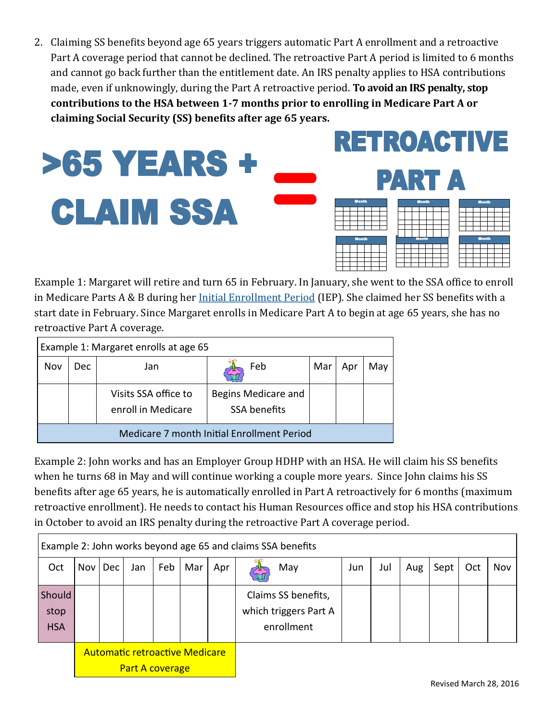2. Claiming SS benefits beyond age 65 years triggers automatic Part A enrollment and a retroactive Part A coverage period that cannot be declined. The retroactive Part A period is limited to 6 months and cannot go back further than the entitlement date. An IRS penalty applies to HSA contributions made, even if unknowingly, during the Part A retroactive period. **To avoid an IRS penalty, stop contributions to the HSA between 1-7 months prior to enrolling in Medicare Part A or claiming Social Security (SS) benefits after age 65 years.** 

RETERAA AURILI

|                       | KEIKOAU IIVE  |  |  |  |  |  |
|-----------------------|---------------|--|--|--|--|--|
| <b>&gt;65 YEARS +</b> | <b>PART A</b> |  |  |  |  |  |
| <b>CLAIM SSA</b>      |               |  |  |  |  |  |
|                       |               |  |  |  |  |  |

Example 1: Margaret will retire and turn 65 in February. In January, she went to the SSA office to enroll in Medicare Parts A & B during her [Initial Enrollment Period](https://www.ncoa.org/resources/guide-to-enrollment-in-medicare/) (IEP). She claimed her SS benefits with a start date in February. Since Margaret enrolls in Medicare Part A to begin at age 65 years, she has no retroactive Part A coverage.

| Example 1: Margaret enrolls at age 65      |      |                                            |                                     |     |     |     |  |  |  |  |  |
|--------------------------------------------|------|--------------------------------------------|-------------------------------------|-----|-----|-----|--|--|--|--|--|
| Nov                                        | Dec. | Jan                                        | Feb                                 | Mar | Apr | Mav |  |  |  |  |  |
|                                            |      | Visits SSA office to<br>enroll in Medicare | Begins Medicare and<br>SSA benefits |     |     |     |  |  |  |  |  |
| Medicare 7 month Initial Enrollment Period |      |                                            |                                     |     |     |     |  |  |  |  |  |

Example 2: John works and has an Employer Group HDHP with an HSA. He will claim his SS benefits when he turns 68 in May and will continue working a couple more years. Since John claims his SS benefits after age 65 years, he is automatically enrolled in Part A retroactively for 6 months (maximum retroactive enrollment). He needs to contact his Human Resources office and stop his HSA contributions in October to avoid an IRS penalty during the retroactive Part A coverage period.

|                              | Example 2: John works beyond age 65 and claims SSA benefits     |            |     |     |     |     |                                                            |     |     |     |     |      |     |     |
|------------------------------|-----------------------------------------------------------------|------------|-----|-----|-----|-----|------------------------------------------------------------|-----|-----|-----|-----|------|-----|-----|
| Oct                          | Nov                                                             | <b>Dec</b> | Jan | Feb | Mar | Apr |                                                            | May | Jun | Jul | Aug | Sept | Oct | Nov |
| Should<br>stop<br><b>HSA</b> |                                                                 |            |     |     |     |     | Claims SS benefits,<br>which triggers Part A<br>enrollment |     |     |     |     |      |     |     |
|                              | <b>Automatic retroactive Medicare</b><br><b>Part A coverage</b> |            |     |     |     |     |                                                            |     |     |     |     |      |     |     |

Revised March 28, 2016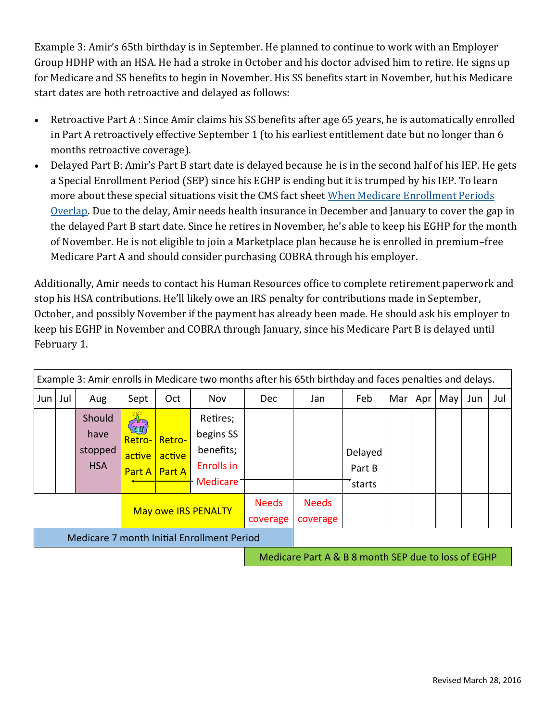Example 3: Amir's 65th birthday is in September. He planned to continue to work with an Employer Group HDHP with an HSA. He had a stroke in October and his doctor advised him to retire. He signs up for Medicare and SS benefits to begin in November. His SS benefits start in November, but his Medicare start dates are both retroactive and delayed as follows:

- Retroactive Part A : Since Amir claims his SS benefits after age 65 years, he is automatically enrolled in Part A retroactively effective September 1 (to his earliest entitlement date but no longer than 6 months retroactive coverage).
- Delayed Part B: Amir's Part B start date is delayed because he is in the second half of his IEP. He gets a Special Enrollment Period (SEP) since his EGHP is ending but it is trumped by his IEP. To learn more about these special situations visit the CMS fact sheet [When Medicare Enrollment Periods](https://www.ncoa.org/resources/when-medicare-enrollment-periods-overlap-cms/)  [Overlap.](https://www.ncoa.org/resources/when-medicare-enrollment-periods-overlap-cms/) Due to the delay, Amir needs health insurance in December and January to cover the gap in the delayed Part B start date. Since he retires in November, he's able to keep his EGHP for the month of November. He is not eligible to join a Marketplace plan because he is enrolled in premium–free Medicare Part A and should consider purchasing COBRA through his employer.

Additionally, Amir needs to contact his Human Resources office to complete retirement paperwork and stop his HSA contributions. He'll likely owe an IRS penalty for contributions made in September, October, and possibly November if the payment has already been made. He should ask his employer to keep his EGHP in November and COBRA through January, since his Medicare Part B is delayed until February 1.

|                                            | Example 3: Amir enrolls in Medicare two months after his 65th birthday and faces penalties and delays. |                                         |                                                       |                                   |                                                                     |                          |                          |                             |     |     |     |     |     |
|--------------------------------------------|--------------------------------------------------------------------------------------------------------|-----------------------------------------|-------------------------------------------------------|-----------------------------------|---------------------------------------------------------------------|--------------------------|--------------------------|-----------------------------|-----|-----|-----|-----|-----|
| Jun                                        | Jul                                                                                                    | Aug                                     | Sept                                                  | Oct                               | Nov                                                                 | <b>Dec</b>               | Jan                      | Feb                         | Mar | Apr | May | Jun | Jul |
|                                            |                                                                                                        | Should<br>have<br>stopped<br><b>HSA</b> | <b>THE STATE</b><br>Retro-<br>active<br><b>Part A</b> | Retro-<br>active<br><b>Part A</b> | Retires;<br>begins SS<br>benefits;<br>Enrolls in<br><b>Medicare</b> |                          |                          | Delayed<br>Part B<br>starts |     |     |     |     |     |
|                                            |                                                                                                        |                                         | <b>May owe IRS PENALTY</b>                            |                                   |                                                                     | <b>Needs</b><br>coverage | <b>Needs</b><br>coverage |                             |     |     |     |     |     |
| Medicare 7 month Initial Enrollment Period |                                                                                                        |                                         |                                                       |                                   |                                                                     |                          |                          |                             |     |     |     |     |     |

Medicare Part A & B 8 month SEP due to loss of EGHP